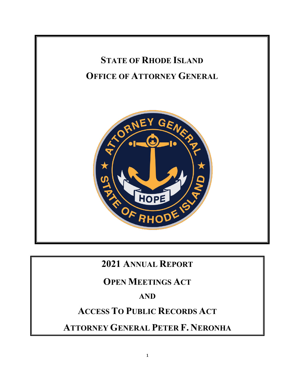

# **2021 ANNUAL REPORT**

# **OPEN MEETINGS ACT**

# **AND**

# **ACCESS TO PUBLIC RECORDS ACT**

**ATTORNEY GENERAL PETER F. NERONHA**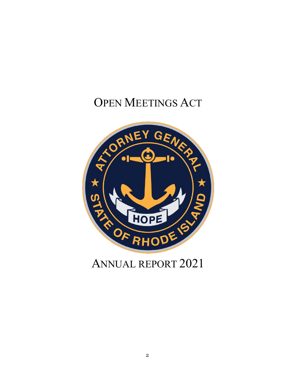# OPEN MEETINGS ACT



# ANNUAL REPORT 2021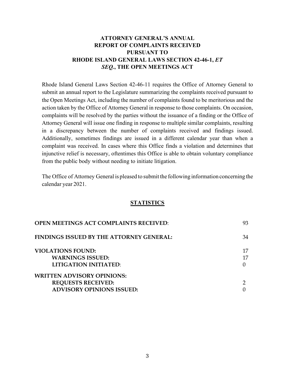# **ATTORNEY GENERAL'S ANNUAL REPORT OF COMPLAINTS RECEIVED PURSUANT TO RHODE ISLAND GENERAL LAWS SECTION 42-46-1,** *ET SEQ.***, THE OPEN MEETINGS ACT**

Rhode Island General Laws Section 42-46-11 requires the Office of Attorney General to submit an annual report to the Legislature summarizing the complaints received pursuant to the Open Meetings Act, including the number of complaints found to be meritorious and the action taken by the Office of Attorney General in response to those complaints. On occasion, complaints will be resolved by the parties without the issuance of a finding or the Office of Attorney General will issue one finding in response to multiple similar complaints, resulting in a discrepancy between the number of complaints received and findings issued. Additionally, sometimes findings are issued in a different calendar year than when a complaint was received. In cases where this Office finds a violation and determines that injunctive relief is necessary, oftentimes this Office is able to obtain voluntary compliance from the public body without needing to initiate litigation.

The Office of Attorney General is pleased to submit the following information concerning the calendar year 2021.

#### **STATISTICS**

| <b>OPEN MEETINGS ACT COMPLAINTS RECEIVED:</b> | 93 |
|-----------------------------------------------|----|
| FINDINGS ISSUED BY THE ATTORNEY GENERAL:      | 34 |
| <b>VIOLATIONS FOUND:</b>                      | 17 |
| <b>WARNINGS ISSUED:</b>                       | 17 |
| LITIGATION INITIATED:                         |    |
| WRITTEN ADVISORY OPINIONS:                    |    |
| <b>REQUESTS RECEIVED:</b>                     |    |
| <b>ADVISORY OPINIONS ISSUED:</b>              |    |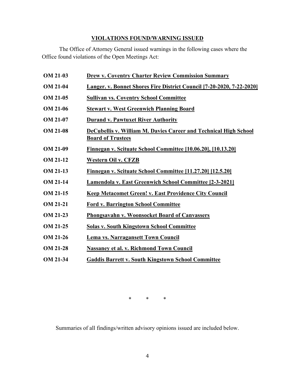# **VIOLATIONS FOUND/WARNING ISSUED**

The Office of Attorney General issued warnings in the following cases where the Office found violations of the Open Meetings Act:

| <b>OM 21-03</b> | <b>Drew v. Coventry Charter Review Commission Summary</b>                                    |
|-----------------|----------------------------------------------------------------------------------------------|
| <b>OM 21-04</b> | <b>Langer. v. Bonnet Shores Fire District Council [7-20-2020, 7-22-2020]</b>                 |
| <b>OM 21-05</b> | <b>Sullivan vs. Coventry School Committee</b>                                                |
| <b>OM 21-06</b> | <b>Stewart v. West Greenwich Planning Board</b>                                              |
| <b>OM 21-07</b> | <b>Durand v. Pawtuxet River Authority</b>                                                    |
| <b>OM 21-08</b> | DeCubellis v. William M. Davies Career and Technical High School<br><b>Board of Trustees</b> |
| <b>OM 21-09</b> | Finnegan v. Scituate School Committee [10.06.20], [10.13.20]                                 |
| <b>OM 21-12</b> | <b>Western Oil v. CFZB</b>                                                                   |
| <b>OM 21-13</b> | Finnegan v. Scituate School Committee [11.27.20] [12.5.20]                                   |
| <b>OM 21-14</b> | <b>Lamendola v. East Greenwich School Committee [2-3-2021]</b>                               |
| <b>OM 21-15</b> | <b>Keep Metacomet Green! v. East Providence City Council</b>                                 |
| <b>OM 21-21</b> | <b>Ford v. Barrington School Committee</b>                                                   |
| OM 21-23        | <b>Phongsavahn v. Woonsocket Board of Canvassers</b>                                         |
| <b>OM 21-25</b> | <b>Solas v. South Kingstown School Committee</b>                                             |
| OM 21-26        | Lema vs. Narragansett Town Council                                                           |
| <b>OM 21-28</b> | <b>Nassaney et al. v. Richmond Town Council</b>                                              |
| <b>OM 21-34</b> | <b>Gaddis Barrett v. South Kingstown School Committee</b>                                    |

\* \* \*

Summaries of all findings/written advisory opinions issued are included below.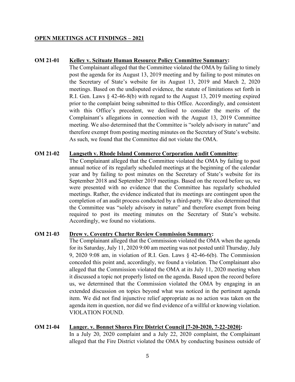#### **OPEN MEETINGS ACT FINDINGS – 2021**

#### **OM 21-01 Kelley v. Scituate Human Resource Policy Committee Summary:**

The Complainant alleged that the Committee violated the OMA by failing to timely post the agenda for its August 13, 2019 meeting and by failing to post minutes on the Secretary of State's website for its August 13, 2019 and March 2, 2020 meetings. Based on the undisputed evidence, the statute of limitations set forth in R.I. Gen. Laws § 42-46-8(b) with regard to the August 13, 2019 meeting expired prior to the complaint being submitted to this Office. Accordingly, and consistent with this Office's precedent, we declined to consider the merits of the Complainant's allegations in connection with the August 13, 2019 Committee meeting. We also determined that the Committee is "solely advisory in nature" and therefore exempt from posting meeting minutes on the Secretary of State's website. As such, we found that the Committee did not violate the OMA.

#### **OM 21-02 Langseth v. Rhode Island Commerce Corporation Audit Committee**:

The Complainant alleged that the Committee violated the OMA by failing to post annual notice of its regularly scheduled meetings at the beginning of the calendar year and by failing to post minutes on the Secretary of State's website for its September 2018 and September 2019 meetings. Based on the record before us, we were presented with no evidence that the Committee has regularly scheduled meetings. Rather, the evidence indicated that its meetings are contingent upon the completion of an audit process conducted by a third-party. We also determined that the Committee was "solely advisory in nature" and therefore exempt from being required to post its meeting minutes on the Secretary of State's website. Accordingly, we found no violations.

### **OM 21**-**03 Drew v. Coventry Charter Review Commission Summary:**

The Complainant alleged that the Commission violated the OMA when the agenda for its Saturday, July 11, 2020 9:00 am meeting was not posted until Thursday, July 9, 2020 9:08 am, in violation of R.I. Gen. Laws § 42-46-6(b). The Commission conceded this point and, accordingly, we found a violation. The Complainant also alleged that the Commission violated the OMA at its July 11, 2020 meeting when it discussed a topic not properly listed on the agenda. Based upon the record before us, we determined that the Commission violated the OMA by engaging in an extended discussion on topics beyond what was noticed in the pertinent agenda item. We did not find injunctive relief appropriate as no action was taken on the agenda item in question, nor did we find evidence of a willful or knowing violation. VIOLATION FOUND.

## **OM 21-04 Langer. v. Bonnet Shores Fire District Council [7-20-2020, 7-22-2020]:**

In a July 20, 2020 complaint and a July 22, 2020 complaint, the Complainant alleged that the Fire District violated the OMA by conducting business outside of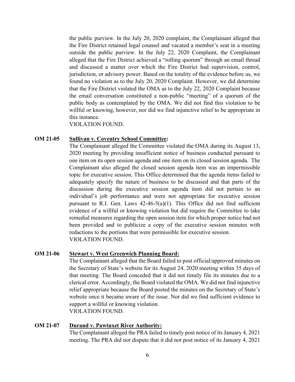the public purview. In the July 20, 2020 complaint, the Complainant alleged that the Fire District retained legal counsel and vacated a member's seat in a meeting outside the public purview. In the July 22, 2020 Complaint, the Complainant alleged that the Fire District achieved a "rolling quorum" through an email thread and discussed a matter over which the Fire District had supervision, control, jurisdiction, or advisory power. Based on the totality of the evidence before us, we found no violation as to the July 20, 2020 Complaint. However, we did determine that the Fire District violated the OMA as to the July 22, 2020 Complaint because the email conversation constituted a non-public "meeting" of a quorum of the public body as contemplated by the OMA. We did not find this violation to be willful or knowing, however, nor did we find injunctive relief to be appropriate in this instance.

VIOLATION FOUND.

#### **OM 21-05 Sullivan v. Coventry School Committee:**

The Complainant alleged the Committee violated the OMA during its August 13, 2020 meeting by providing insufficient notice of business conducted pursuant to one item on its open session agenda and one item on its closed session agenda. The Complainant also alleged the closed session agenda item was an impermissible topic for executive session. This Office determined that the agenda items failed to adequately specify the nature of business to be discussed and that parts of the discussion during the executive session agenda item did not pertain to an individual's job performance and were not appropriate for executive session pursuant to R.I. Gen. Laws  $42-46-5(a)(1)$ . This Office did not find sufficient evidence of a willful or knowing violation but did require the Committee to take remedial measures regarding the open session item for which proper notice had not been provided and to publicize a copy of the executive session minutes with redactions to the portions that were permissible for executive session. VIOLATION FOUND.

### **OM 21-06 Stewart v. West Greenwich Planning Board:**

The Complainant alleged that the Board failed to post official/approved minutes on the Secretary of State's website for its August 24, 2020 meeting within 35 days of that meeting. The Board conceded that it did not timely file its minutes due to a clerical error. Accordingly, the Board violated the OMA. We did not find injunctive relief appropriate because the Board posted the minutes on the Secretary of State's website once it became aware of the issue. Nor did we find sufficient evidence to support a willful or knowing violation. VIOLATION FOUND.

#### **OM 21-07 Durand v. Pawtuxet River Authority:**

The Complainant alleged the PRA failed to timely post notice of its January 4, 2021 meeting. The PRA did not dispute that it did not post notice of its January 4, 2021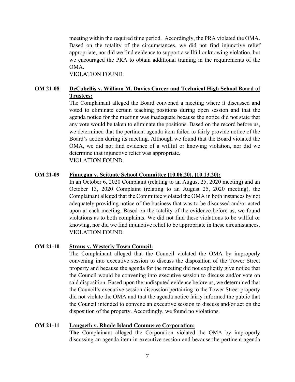meeting within the required time period. Accordingly, the PRA violated the OMA. Based on the totality of the circumstances, we did not find injunctive relief appropriate, nor did we find evidence to support a willful or knowing violation, but we encouraged the PRA to obtain additional training in the requirements of the OMA.

VIOLATION FOUND.

# **OM 21-08 DeCubellis v. William M. Davies Career and Technical High School Board of Trustees:**

The Complainant alleged the Board convened a meeting where it discussed and voted to eliminate certain teaching positions during open session and that the agenda notice for the meeting was inadequate because the notice did not state that any vote would be taken to eliminate the positions. Based on the record before us, we determined that the pertinent agenda item failed to fairly provide notice of the Board's action during its meeting. Although we found that the Board violated the OMA, we did not find evidence of a willful or knowing violation, nor did we determine that injunctive relief was appropriate. VIOLATION FOUND.

### **OM 21-09 Finnegan v. Scituate School Committee [10.06.20], [10.13.20]:**

In an October 6, 2020 Complaint (relating to an August 25, 2020 meeting) and an October 13, 2020 Complaint (relating to an August 25, 2020 meeting), the Complainant alleged that the Committee violated the OMA in both instances by not adequately providing notice of the business that was to be discussed and/or acted upon at each meeting. Based on the totality of the evidence before us, we found violations as to both complaints. We did not find these violations to be willful or knowing, nor did we find injunctive relief to be appropriate in these circumstances. VIOLATION FOUND.

# **OM 21-10 Straus v. Westerly Town Council:**

The Complainant alleged that the Council violated the OMA by improperly convening into executive session to discuss the disposition of the Tower Street property and because the agenda for the meeting did not explicitly give notice that the Council would be convening into executive session to discuss and/or vote on said disposition. Based upon the undisputed evidence before us, we determined that the Council's executive session discussion pertaining to the Tower Street property did not violate the OMA and that the agenda notice fairly informed the public that the Council intended to convene an executive session to discuss and/or act on the disposition of the property. Accordingly, we found no violations.

### **OM 21-11 Langseth v. Rhode Island Commerce Corporation:**

**The** Complainant alleged the Corporation violated the OMA by improperly discussing an agenda item in executive session and because the pertinent agenda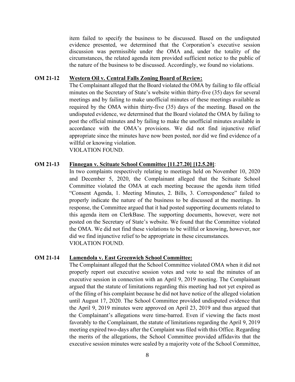item failed to specify the business to be discussed. Based on the undisputed evidence presented, we determined that the Corporation's executive session discussion was permissible under the OMA and, under the totality of the circumstances, the related agenda item provided sufficient notice to the public of the nature of the business to be discussed. Accordingly, we found no violations.

#### **OM 21-12 Western Oil v. Central Falls Zoning Board of Review:**

The Complainant alleged that the Board violated the OMA by failing to file official minutes on the Secretary of State's website within thirty-five (35) days for several meetings and by failing to make unofficial minutes of these meetings available as required by the OMA within thirty-five (35) days of the meeting. Based on the undisputed evidence, we determined that the Board violated the OMA by failing to post the official minutes and by failing to make the unofficial minutes available in accordance with the OMA's provisions. We did not find injunctive relief appropriate since the minutes have now been posted, nor did we find evidence of a willful or knowing violation.

VIOLATION FOUND.

#### **OM 21-13 Finnegan v. Scituate School Committee [11.27.20] [12.5.20]**:

In two complaints respectively relating to meetings held on November 10, 2020 and December 5, 2020, the Complainant alleged that the Scituate School Committee violated the OMA at each meeting because the agenda item titled "Consent Agenda, 1. Meeting Minutes, 2. Bills, 3. Correspondence" failed to properly indicate the nature of the business to be discussed at the meetings. In response, the Committee argued that it had posted supporting documents related to this agenda item on ClerkBase. The supporting documents, however, were not posted on the Secretary of State's website. We found that the Committee violated the OMA. We did not find these violations to be willful or knowing, however, nor did we find injunctive relief to be appropriate in these circumstances. VIOLATION FOUND.

### **OM 21-14 Lamendola v. East Greenwich School Committee:**

The Complainant alleged that the School Committee violated OMA when it did not properly report out executive session votes and vote to seal the minutes of an executive session in connection with an April 9, 2019 meeting. The Complainant argued that the statute of limitations regarding this meeting had not yet expired as of the filing of his complaint because he did not have notice of the alleged violation until August 17, 2020. The School Committee provided undisputed evidence that the April 9, 2019 minutes were approved on April 23, 2019 and thus argued that the Complainant's allegations were time-barred. Even if viewing the facts most favorably to the Complainant, the statute of limitations regarding the April 9, 2019 meeting expired two-days after the Complaint was filed with this Office. Regarding the merits of the allegations, the School Committee provided affidavits that the executive session minutes were sealed by a majority vote of the School Committee,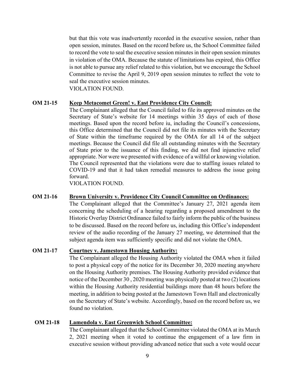but that this vote was inadvertently recorded in the executive session, rather than open session, minutes. Based on the record before us, the School Committee failed to record the vote to seal the executive session minutes in their open session minutes in violation of the OMA. Because the statute of limitations has expired, this Office is not able to pursue any relief related to this violation, but we encourage the School Committee to revise the April 9, 2019 open session minutes to reflect the vote to seal the executive session minutes. VIOLATION FOUND.

### **OM 21-15 Keep Metacomet Green! v. East Providence City Council:**

The Complainant alleged that the Council failed to file its approved minutes on the Secretary of State's website for 14 meetings within 35 days of each of those meetings. Based upon the record before iu, including the Council's concessions, this Office determined that the Council did not file its minutes with the Secretary of State within the timeframe required by the OMA for all 14 of the subject meetings. Because the Council did file all outstanding minutes with the Secretary of State prior to the issuance of this finding, we did not find injunctive relief appropriate. Nor were we presented with evidence of a willful or knowing violation. The Council represented that the violations were due to staffing issues related to COVID-19 and that it had taken remedial measures to address the issue going forward.

VIOLATION FOUND.

# **OM 21-16 Brown University v. Providence City Council Committee on Ordinances:**

The Complainant alleged that the Committee's January 27, 2021 agenda item concerning the scheduling of a hearing regarding a proposed amendment to the Historic Overlay District Ordinance failed to fairly inform the public of the business to be discussed. Based on the record before us, including this Office's independent review of the audio recording of the January 27 meeting, we determined that the subject agenda item was sufficiently specific and did not violate the OMA.

#### **OM 21-17 Courtney v. Jamestown Housing Authority:**

The Complainant alleged the Housing Authority violated the OMA when it failed to post a physical copy of the notice for its December 30, 2020 meeting anywhere on the Housing Authority premises. The Housing Authority provided evidence that notice of the December 30 , 2020 meeting was physically posted at two (2) locations within the Housing Authority residential buildings more than 48 hours before the meeting, in addition to being posted at the Jamestown Town Hall and electronically on the Secretary of State's website. Accordingly, based on the record before us, we found no violation.

#### **OM 21-18 Lamendola v. East Greenwich School Committee:**

The Complainant alleged that the School Committee violated the OMA at its March 2, 2021 meeting when it voted to continue the engagement of a law firm in executive session without providing advanced notice that such a vote would occur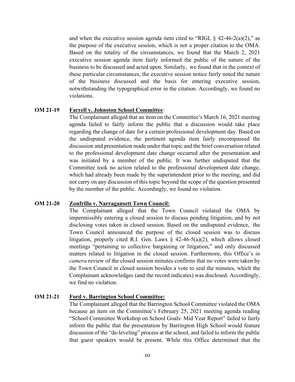and when the executive session agenda item cited to "RIGL  $\delta$  42-46-2(a)(2)," as the purpose of the executive session, which is not a proper citation to the OMA. Based on the totality of the circumstances, we found that the March 2, 2021 executive session agenda item fairly informed the public of the nature of the business to be discussed and acted upon. Similarly, we found that in the context of these particular circumstances, the executive session notice fairly noted the nature of the business discussed and the basis for entering executive session, notwithstanding the typographical error in the citation. Accordingly, we found no violations.

#### **OM 21-19 Farrell v. Johnston School Committee**:

The Complainant alleged that an item on the Committee's March 16, 2021 meeting agenda failed to fairly inform the public that a discussion would take place regarding the change of date for a certain professional development day. Based on the undisputed evidence, the pertinent agenda item fairly encompassed the discussion and presentation made under that topic and the brief conversation related to the professional development date change occurred after the presentation and was initiated by a member of the public. It was further undisputed that the Committee took no action related to the professional development date change, which had already been made by the superintendent prior to the meeting, and did not carry on any discussion of this topic beyond the scope of the question presented by the member of the public. Accordingly, we found no violation.

#### **OM 21-20 Zonfrillo v. Narragansett Town Council:**

The Complainant alleged that the Town Council violated the OMA by impermissibly entering a closed session to discuss pending litigation, and by not disclosing votes taken in closed session. Based on the undisputed evidence, the Town Council announced the purpose of the closed session was to discuss litigation, properly cited R.I. Gen. Laws  $\S$  42-46-5(a)(2), which allows closed meetings "pertaining to collective bargaining or litigation," and only discussed matters related to litigation in the closed session. Furthermore, this Office's *in camera* review of the closed session minutes confirms that no votes were taken by the Town Council in closed session besides a vote to seal the minutes, which the Complainant acknowledges (and the record indicates) was disclosed. Accordingly, we find no violation.

### **OM 21-21 Ford v. Barrington School Committee:**

The Complainant alleged that the Barrington School Committee violated the OMA because an item on the Committee's February 25, 2021 meeting agenda reading "School Committee Workshop on School Goals: Mid Year Report" failed to fairly inform the public that the presentation by Barrington High School would feature discussion of the "de-leveling" process at the school, and failed to inform the public that guest speakers would be present. While this Office determined that the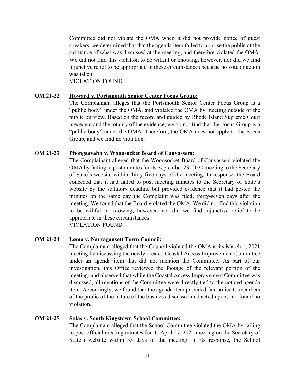Committee did not violate the OMA when it did not provide notice of guest speakers, we determined that that the agenda item failed to apprise the public of the substance of what was discussed at the meeting, and therefore violated the OMA. We did not find this violation to be willful or knowing, however, nor did we find injunctive relief to be appropriate in these circumstances because no vote or action was taken.

VIOLATION FOUND.

### **OM 21-22 Howard v. Portsmouth Senior Center Focus Group:**

The Complainant alleges that the Portsmouth Senior Center Focus Group is a "public body" under the OMA, and violated the OMA by meeting outside of the public purview. Based on the record and guided by Rhode Island Supreme Court precedent and the totality of the evidence, we do not find that the Focus Group is a "public body" under the OMA. Therefore, the OMA does not apply to the Focus Group, and we find no violation.

#### **OM 21-23 Phongsavahn v. Woonsocket Board of Canvassers:**

The Complainant alleged that the Woonsocket Board of Canvassers violated the OMA by failing to post minutes for its September 23, 2020 meeting to the Secretary of State's website within thirty-five days of the meeting. In response, the Board conceded that it had failed to post meeting minutes to the Secretary of State's website by the statutory deadline but provided evidence that it had posted the minutes on the same day the Complaint was filed, thirty-seven days after the meeting. We found that the Board violated the OMA. We did not find this violation to be willful or knowing, however, nor did we find injunctive relief to be appropriate in these circumstances. VIOLATION FOUND.

### **OM 21-24 Lema v. Narragansett Town Council:**

The Complainant alleged that the Council violated the OMA at its March 1, 2021 meeting by discussing the newly created Coastal Access Improvement Committee under an agenda item that did not mention the Committee. As part of our investigation, this Office reviewed the footage of the relevant portion of the meeting, and observed that while the Coastal Access Improvement Committee was discussed, all mentions of the Committee were directly tied to the noticed agenda item. Accordingly, we found that the agenda item provided fair notice to members of the public of the nature of the business discussed and acted upon, and found no violation.

### **OM 21-25 Solas v. South Kingstown School Committee:**

The Complainant alleged that the School Committee violated the OMA by failing to post official meeting minutes for its April 27, 2021 meeting on the Secretary of State's website within 35 days of the meeting. In its response, the School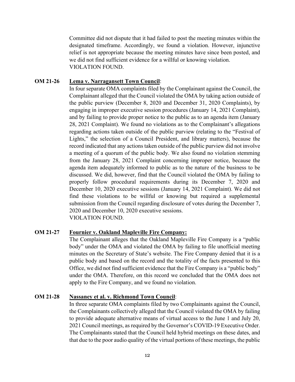Committee did not dispute that it had failed to post the meeting minutes within the designated timeframe. Accordingly, we found a violation. However, injunctive relief is not appropriate because the meeting minutes have since been posted, and we did not find sufficient evidence for a willful or knowing violation. VIOLATION FOUND.

# **OM 21-26 Lema v. Narragansett Town Council**:

In four separate OMA complaints filed by the Complainant against the Council, the Complainant alleged that the Council violated the OMA by taking action outside of the public purview (December 8, 2020 and December 31, 2020 Complaints), by engaging in improper executive session procedures (January 14, 2021 Complaint), and by failing to provide proper notice to the public as to an agenda item (January 28, 2021 Complaint). We found no violations as to the Complainant's allegations regarding actions taken outside of the public purview (relating to the "Festival of Lights," the selection of a Council President, and library matters), because the record indicated that any actions taken outside of the public purview did not involve a meeting of a quorum of the public body. We also found no violation stemming from the January 28, 2021 Complaint concerning improper notice, because the agenda item adequately informed to public as to the nature of the business to be discussed. We did, however, find that the Council violated the OMA by failing to properly follow procedural requirements during its December 7, 2020 and December 10, 2020 executive sessions (January 14, 2021 Complaint). We did not find these violations to be willful or knowing but required a supplemental submission from the Council regarding disclosure of votes during the December 7, 2020 and December 10, 2020 executive sessions. VIOLATION FOUND.

### **OM 21-27 Fournier v. Oakland Mapleville Fire Company:**

The Complainant alleges that the Oakland Mapleville Fire Company is a "public body" under the OMA and violated the OMA by failing to file unofficial meeting minutes on the Secretary of State's website. The Fire Company denied that it is a public body and based on the record and the totality of the facts presented to this Office, we did not find sufficient evidence that the Fire Company is a "public body" under the OMA. Therefore, on this record we concluded that the OMA does not apply to the Fire Company, and we found no violation.

### **OM 21-28 Nassaney et al. v. Richmond Town Council**:

In three separate OMA complaints filed by two Complainants against the Council, the Complainants collectively alleged that the Council violated the OMA by failing to provide adequate alternative means of virtual access to the June 1 and July 20, 2021 Council meetings, as required by the Governor's COVID-19 Executive Order. The Complainants stated that the Council held hybrid meetings on these dates, and that due to the poor audio quality of the virtual portions of these meetings, the public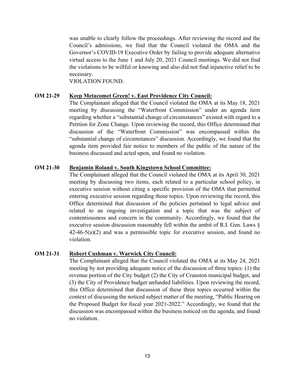was unable to clearly follow the proceedings. After reviewing the record and the Council's admissions, we find that the Council violated the OMA and the Governor's COVID-19 Executive Order by failing to provide adequate alternative virtual access to the June 1 and July 20, 2021 Council meetings. We did not find the violations to be willful or knowing and also did not find injunctive relief to be necessary.

VIOLATION FOUND.

### **OM 21-29 Keep Metacomet Green! v. East Providence City Council:**

The Complainant alleged that the Council violated the OMA at its May 18, 2021 meeting by discussing the "Waterfront Commission" under an agenda item regarding whether a "substantial change of circumstances" existed with regard to a Petition for Zone Change. Upon reviewing the record, this Office determined that discussion of the "Waterfront Commission" was encompassed within the "substantial change of circumstances" discussion. Accordingly, we found that the agenda item provided fair notice to members of the public of the nature of the business discussed and acted upon, and found no violation.

#### **OM 21-30 Benjamin Roland v. South Kingstown School Committee:**

The Complainant alleged that the Council violated the OMA at its April 30, 2021 meeting by discussing two items, each related to a particular school policy, in executive session without citing a specific provision of the OMA that permitted entering executive session regarding those topics. Upon reviewing the record, this Office determined that discussion of the policies pertained to legal advice and related to an ongoing investigation and a topic that was the subject of contentiousness and concern in the community. Accordingly, we found that the executive session discussion reasonably fell within the ambit of R.I. Gen. Laws § 42-46-5(a)(2) and was a permissible topic for executive session, and found no violation.

#### **OM 21-31 Robert Cushman v. Warwick City Council:**

The Complainant alleged that the Council violated the OMA at its May 24, 2021 meeting by not providing adequate notice of the discussion of three topics: (1) the revenue portion of the City budget (2) the City of Cranston municipal budget, and (3) the City of Providence budget unfunded liabilities. Upon reviewing the record, this Office determined that discussion of these three topics occurred within the context of discussing the noticed subject matter of the meeting, "Public Hearing on the Proposed Budget for fiscal year 2021-2022." Accordingly, we found that the discussion was encompassed within the business noticed on the agenda, and found no violation.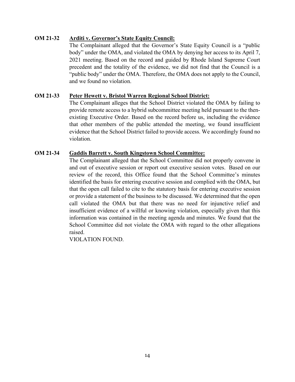# **OM 21-32 Arditi v. Governor's State Equity Council:**

The Complainant alleged that the Governor's State Equity Council is a "public body" under the OMA, and violated the OMA by denying her access to its April 7, 2021 meeting. Based on the record and guided by Rhode Island Supreme Court precedent and the totality of the evidence, we did not find that the Council is a "public body" under the OMA. Therefore, the OMA does not apply to the Council, and we found no violation.

### **OM 21-33 Peter Hewett v. Bristol Warren Regional School District:**

The Complainant alleges that the School District violated the OMA by failing to provide remote access to a hybrid subcommittee meeting held pursuant to the thenexisting Executive Order. Based on the record before us, including the evidence that other members of the public attended the meeting, we found insufficient evidence that the School District failed to provide access. We accordingly found no violation.

### **OM 21-34 Gaddis Barrett v. South Kingstown School Committee:**

The Complainant alleged that the School Committee did not properly convene in and out of executive session or report out executive session votes. Based on our review of the record, this Office found that the School Committee's minutes identified the basis for entering executive session and complied with the OMA, but that the open call failed to cite to the statutory basis for entering executive session or provide a statement of the business to be discussed. We determined that the open call violated the OMA but that there was no need for injunctive relief and insufficient evidence of a willful or knowing violation, especially given that this information was contained in the meeting agenda and minutes. We found that the School Committee did not violate the OMA with regard to the other allegations raised.

VIOLATION FOUND.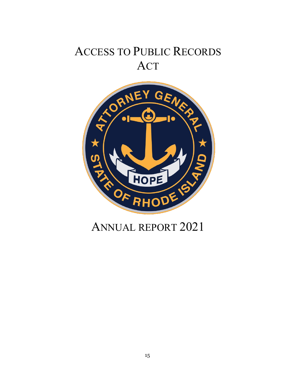# ACCESS TO PUBLIC RECORDS ACT



# ANNUAL REPORT 2021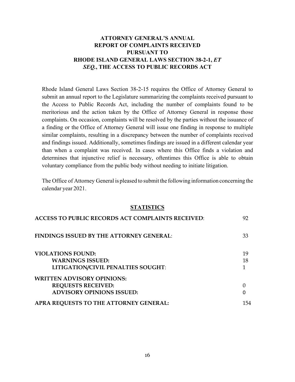# **ATTORNEY GENERAL'S ANNUAL REPORT OF COMPLAINTS RECEIVED PURSUANT TO RHODE ISLAND GENERAL LAWS SECTION 38-2-1,** *ET SEQ.***, THE ACCESS TO PUBLIC RECORDS ACT**

Rhode Island General Laws Section 38-2-15 requires the Office of Attorney General to submit an annual report to the Legislature summarizing the complaints received pursuant to the Access to Public Records Act, including the number of complaints found to be meritorious and the action taken by the Office of Attorney General in response those complaints. On occasion, complaints will be resolved by the parties without the issuance of a finding or the Office of Attorney General will issue one finding in response to multiple similar complaints, resulting in a discrepancy between the number of complaints received and findings issued. Additionally, sometimes findings are issued in a different calendar year than when a complaint was received. In cases where this Office finds a violation and determines that injunctive relief is necessary, oftentimes this Office is able to obtain voluntary compliance from the public body without needing to initiate litigation.

The Office of Attorney General is pleased to submit the following information concerning the calendar year 2021.

#### **STATISTICS**

| ACCESS TO PUBLIC RECORDS ACT COMPLAINTS RECEIVED: | 92       |
|---------------------------------------------------|----------|
| <b>FINDINGS ISSUED BY THE ATTORNEY GENERAL:</b>   | 33       |
| <b>VIOLATIONS FOUND:</b>                          | 19       |
| <b>WARNINGS ISSUED:</b>                           | 18       |
| LITIGATION/CIVIL PENALTIES SOUGHT:                |          |
| <b>WRITTEN ADVISORY OPINIONS:</b>                 |          |
| <b>REQUESTS RECEIVED:</b>                         | $\Omega$ |
| <b>ADVISORY OPINIONS ISSUED:</b>                  | O        |
| APRA REQUESTS TO THE ATTORNEY GENERAL:            | 154      |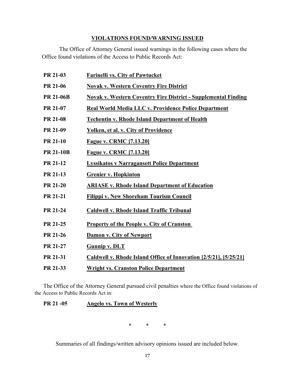# **VIOLATIONS FOUND/WARNING ISSUED**

The Office of Attorney General issued warnings in the following cases where the Office found violations of the Access to Public Records Act:

| PR 21-03         | <b>Farinelli vs. City of Pawtucket</b>                                |
|------------------|-----------------------------------------------------------------------|
| PR 21-06         | <b>Novak v. Western Coventry Fire District</b>                        |
| <b>PR 21-06B</b> | <b>Novak v. Western Coventry Fire District - Supplemental Finding</b> |
| PR 21-07         | Real World Media LLC v. Providence Police Department                  |
| <b>PR 21-08</b>  | <b>Techentin v. Rhode Island Department of Health</b>                 |
| PR 21-09         | <b>Yolken, et al. v. City of Providence</b>                           |
| <b>PR 21-10</b>  | <b>Fague v. CRMC [7.13.20]</b>                                        |
| <b>PR 21-10B</b> | <b>Fague v. CRMC [7.13.20]</b>                                        |
| PR 21-12         | <b>Lyssikatos v Narragansett Police Department</b>                    |
| PR 21-13         | <b>Grenier v. Hopkinton</b>                                           |
| <b>PR 21-20</b>  | <b>ARIASE v. Rhode Island Department of Education</b>                 |
| <b>PR 21-21</b>  | <b>Filippi v. New Shoreham Tourism Council</b>                        |
| PR 21-24         | <b>Caldwell v. Rhode Island Traffic Tribunal</b>                      |
| PR 21-25         | <b>Property of the People v. City of Cranston</b>                     |
| PR 21-26         | Damon v. City of Newport                                              |
| PR 21-27         | <b>Gunnip v. DLT</b>                                                  |
| PR 21-31         | Caldwell v. Rhode Island Office of Innovation [2/5/21], [5/25/21]     |
| PR 21-33         | <b>Wright vs. Cranston Police Department</b>                          |

The Office of the Attorney General pursued civil penalties where the Office found violations of the Access to Public Records Act in:

# **PR 21 -05 Angelo vs. Town of Westerly**

\* \* \*

Summaries of all findings/written advisory opinions issued are included below.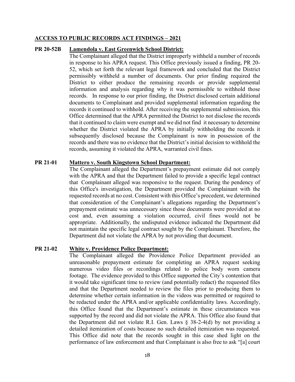#### **ACCESS TO PUBLIC RECORDS ACT FINDINGS – 2021**

#### **PR 20-52B Lamendola v. East Greenwich School District:**

The Complainant alleged that the District improperly withheld a number of records in response to his APRA request. This Office previously issued a finding, PR 20- 52, which set forth the relevant legal framework and concluded that the District permissibly withheld a number of documents. Our prior finding required the District to either produce the remaining records or provide supplemental information and analysis regarding why it was permissible to withhold those records. In response to our prior finding, the District disclosed certain additional documents to Complainant and provided supplemental information regarding the records it continued to withhold. After receiving the supplemental submission, this Office determined that the APRA permitted the District to not disclose the records that it continued to claim were exempt and we did not find it necessary to determine whether the District violated the APRA by initially withholding the records it subsequently disclosed because the Complainant is now in possession of the records and there was no evidence that the District's initial decision to withhold the records, assuming it violated the APRA, warranted civil fines.

#### **PR 21-01 Mattero v. South Kingstown School Department:**

The Complainant alleged the Department's prepayment estimate did not comply with the APRA and that the Department failed to provide a specific legal contract that Complainant alleged was responsive to the request. During the pendency of this Office's investigation, the Department provided the Complainant with the requested records at no cost. Consistent with this Office's precedent, we determined that consideration of the Complainant's allegations regarding the Department's prepayment estimate was unnecessary since those documents were provided at no cost and, even assuming a violation occurred, civil fines would not be appropriate. Additionally, the undisputed evidence indicated the Department did not maintain the specific legal contract sought by the Complainant. Therefore, the Department did not violate the APRA by not providing that document.

#### **PR 21-02 White v. Providence Police Department:**

The Complainant alleged the Providence Police Department provided an unreasonable prepayment estimate for completing an APRA request seeking numerous video files or recordings related to police body worn camera footage. The evidence provided to this Office supported the City's contention that it would take significant time to review (and potentially redact) the requested files and that the Department needed to review the files prior to producing them to determine whether certain information in the videos was permitted or required to be redacted under the APRA and/or applicable confidentiality laws. Accordingly, this Office found that the Department's estimate in these circumstances was supported by the record and did not violate the APRA. This Office also found that the Department did not violate R.I. Gen. Laws  $\S$  38-2-4(d) by not providing a detailed itemization of costs because no such detailed itemization was requested. This Office did note that the records sought in this case shed light on the performance of law enforcement and that Complainant is also free to ask "[a] court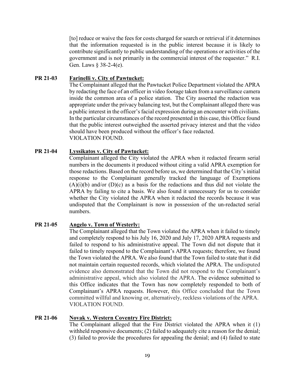[to] reduce or waive the fees for costs charged for search or retrieval if it determines that the information requested is in the public interest because it is likely to contribute significantly to public understanding of the operations or activities of the government and is not primarily in the commercial interest of the requester." R.I. Gen. Laws § 38-2-4(e).

#### **PR 21-03 Farinelli v. City of Pawtucket:**

The Complainant alleged that the Pawtucket Police Department violated the APRA by redacting the face of an officer in video footage taken from a surveillance camera inside the common area of a police station. The City asserted the redaction was appropriate under the privacy balancing test, but the Complainant alleged there was a public interest in the officer's facial expression during an encounter with civilians. In the particular circumstances of the record presented in this case, this Office found that the public interest outweighed the asserted privacy interest and that the video should have been produced without the officer's face redacted. VIOLATION FOUND.

#### **PR 21-04 Lyssikatos v. City of Pawtucket:**

Complainant alleged the City violated the APRA when it redacted firearm serial numbers in the documents it produced without citing a valid APRA exemption for those redactions. Based on the record before us, we determined that the City's initial response to the Complainant generally tracked the language of Exemptions  $(A)(i)(b)$  and/or  $(D)(c)$  as a basis for the redactions and thus did not violate the APRA by failing to cite a basis. We also found it unnecessary for us to consider whether the City violated the APRA when it redacted the records because it was undisputed that the Complainant is now in possession of the un-redacted serial numbers.

### **PR 21-05 Angelo v. Town of Westerly:**

The Complainant alleged that the Town violated the APRA when it failed to timely and completely respond to his July 16, 2020 and July 17, 2020 APRA requests and failed to respond to his administrative appeal. The Town did not dispute that it failed to timely respond to the Complainant's APRA requests; therefore, we found the Town violated the APRA. We also found that the Town failed to state that it did not maintain certain requested records, which violated the APRA. The undisputed evidence also demonstrated that the Town did not respond to the Complainant's administrative appeal, which also violated the APRA. The evidence submitted to this Office indicates that the Town has now completely responded to both of Complainant's APRA requests. However, this Office concluded that the Town committed willful and knowing or, alternatively, reckless violations of the APRA. VIOLATION FOUND.

# **PR 21-06 Novak v. Western Coventry Fire District:**

The Complainant alleged that the Fire District violated the APRA when it (1) withheld responsive documents; (2) failed to adequately cite a reason for the denial; (3) failed to provide the procedures for appealing the denial; and (4) failed to state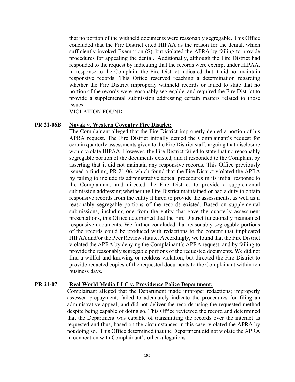that no portion of the withheld documents were reasonably segregable. This Office concluded that the Fire District cited HIPAA as the reason for the denial, which sufficiently invoked Exemption (S), but violated the APRA by failing to provide procedures for appealing the denial. Additionally, although the Fire District had responded to the request by indicating that the records were exempt under HIPAA, in response to the Complaint the Fire District indicated that it did not maintain responsive records. This Office reserved reaching a determination regarding whether the Fire District improperly withheld records or failed to state that no portion of the records were reasonably segregable, and required the Fire District to provide a supplemental submission addressing certain matters related to those issues.

VIOLATION FOUND.

#### **PR 21-06B Novak v. Western Coventry Fire District:**

The Complainant alleged that the Fire District improperly denied a portion of his APRA request. The Fire District initially denied the Complainant's request for certain quarterly assessments given to the Fire District staff, arguing that disclosure would violate HIPAA. However, the Fire District failed to state that no reasonably segregable portion of the documents existed, and it responded to the Complaint by asserting that it did not maintain any responsive records. This Office previously issued a finding, PR 21-06, which found that the Fire District violated the APRA by failing to include its administrative appeal procedures in its initial response to the Complainant, and directed the Fire District to provide a supplemental submission addressing whether the Fire District maintained or had a duty to obtain responsive records from the entity it hired to provide the assessments, as well as if reasonably segregable portions of the records existed. Based on supplemental submissions, including one from the entity that gave the quarterly assessment presentations, this Office determined that the Fire District functionally maintained responsive documents. We further concluded that reasonably segregable portions of the records could be produced with redactions to the content that implicated HIPAA and/or the Peer Review statute. Accordingly, we found that the Fire District violated the APRA by denying the Complainant's APRA request, and by failing to provide the reasonably segregable portions of the requested documents. We did not find a willful and knowing or reckless violation, but directed the Fire District to provide redacted copies of the requested documents to the Complainant within ten business days.

#### **PR 21-07 Real World Media LLC v. Providence Police Department:**

Complainant alleged that the Department made improper redactions; improperly assessed prepayment; failed to adequately indicate the procedures for filing an administrative appeal; and did not deliver the records using the requested method despite being capable of doing so. This Office reviewed the record and determined that the Department was capable of transmitting the records over the internet as requested and thus, based on the circumstances in this case, violated the APRA by not doing so. This Office determined that the Department did not violate the APRA in connection with Complainant's other allegations.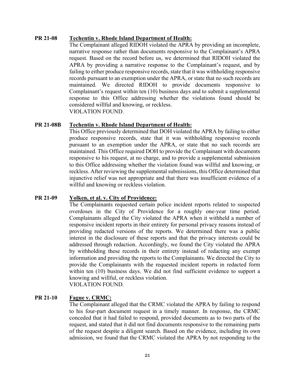### **PR 21-08 Techentin v. Rhode Island Department of Health:**

The Complainant alleged RIDOH violated the APRA by providing an incomplete, narrative response rather than documents responsive to the Complainant's APRA request. Based on the record before us, we determined that RIDOH violated the APRA by providing a narrative response to the Complainant's request, and by failing to either produce responsive records, state that it was withholding responsive records pursuant to an exemption under the APRA, or state that no such records are maintained. We directed RIDOH to provide documents responsive to Complainant's request within ten (10) business days and to submit a supplemental response to this Office addressing whether the violations found should be considered willful and knowing, or reckless. VIOLATION FOUND.

### **PR 21-08B Techentin v. Rhode Island Department of Health:**

This Office previously determined that DOH violated the APRA by failing to either produce responsive records, state that it was withholding responsive records pursuant to an exemption under the APRA, or state that no such records are maintained. This Office required DOH to provide the Complainant with documents responsive to his request, at no charge, and to provide a supplemental submission to this Office addressing whether the violation found was willful and knowing, or reckless. After reviewing the supplemental submissions, this Office determined that injunctive relief was not appropriate and that there was insufficient evidence of a willful and knowing or reckless violation.

### **PR 21-09 Yolken, et al. v. City of Providence:**

The Complainants requested certain police incident reports related to suspected overdoses in the City of Providence for a roughly one-year time period. Complainants alleged the City violated the APRA when it withheld a number of responsive incident reports in their entirety for personal privacy reasons instead of providing redacted versions of the reports. We determined there was a public interest in the disclosure of these reports and that the privacy interests could be addressed through redaction. Accordingly, we found the City violated the APRA by withholding these records in their entirety instead of redacting any exempt information and providing the reports to the Complainants. We directed the City to provide the Complainants with the requested incident reports in redacted form within ten (10) business days. We did not find sufficient evidence to support a knowing and willful, or reckless violation. VIOLATION FOUND.

### **PR 21-10 Fague v. CRMC:**

The Complainant alleged that the CRMC violated the APRA by failing to respond to his four-part document request in a timely manner. In response, the CRMC conceded that it had failed to respond, provided documents as to two parts of the request, and stated that it did not find documents responsive to the remaining parts of the request despite a diligent search. Based on the evidence, including its own admission, we found that the CRMC violated the APRA by not responding to the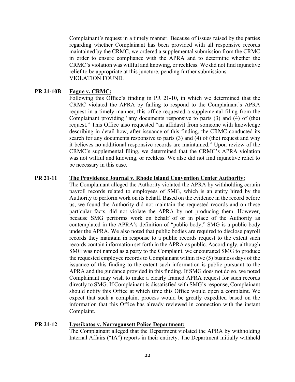Complainant's request in a timely manner. Because of issues raised by the parties regarding whether Complainant has been provided with all responsive records maintained by the CRMC, we ordered a supplemental submission from the CRMC in order to ensure compliance with the APRA and to determine whether the CRMC's violation was willful and knowing, or reckless. We did not find injunctive relief to be appropriate at this juncture, pending further submissions. VIOLATION FOUND.

# **PR 21-10B Fague v. CRMC:**

Following this Office's finding in PR 21-10, in which we determined that the CRMC violated the APRA by failing to respond to the Complainant's APRA request in a timely manner, this office requested a supplemental filing from the Complainant providing "any documents responsive to parts (3) and (4) of (the) request." This Office also requested "an affidavit from someone with knowledge describing in detail how, after issuance of this finding, the CRMC conducted its search for any documents responsive to parts (3) and (4) of (the) request and why it believes no additional responsive records are maintained." Upon review of the CRMC's supplemental filing, we determined that the CRMC's APRA violation was not willful and knowing, or reckless. We also did not find injunctive relief to be necessary in this case.

### **PR 21-11 The Providence Journal v. Rhode Island Convention Center Authority:**

The Complainant alleged the Authority violated the APRA by withholding certain payroll records related to employees of SMG, which is an entity hired by the Authority to perform work on its behalf. Based on the evidence in the record before us, we found the Authority did not maintain the requested records and on these particular facts, did not violate the APRA by not producing them. However, because SMG performs work on behalf of or in place of the Authority as contemplated in the APRA's definition of "public body," SMG is a public body under the APRA. We also noted that public bodies are required to disclose payroll records they maintain in response to a public records request to the extent such records contain information set forth in the APRA as public. Accordingly, although SMG was not named as a party to the Complaint, we encouraged SMG to produce the requested employee records to Complainant within five (5) business days of the issuance of this finding to the extent such information is public pursuant to the APRA and the guidance provided in this finding. If SMG does not do so, we noted Complainant may wish to make a clearly framed APRA request for such records directly to SMG. If Complainant is dissatisfied with SMG's response, Complainant should notify this Office at which time this Office would open a complaint. We expect that such a complaint process would be greatly expedited based on the information that this Office has already reviewed in connection with the instant Complaint.

# **PR 21-12 Lyssikatos v. Narragansett Police Department:**

The Complainant alleged that the Department violated the APRA by withholding Internal Affairs ("IA") reports in their entirety. The Department initially withheld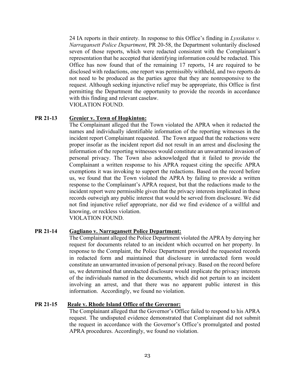24 IA reports in their entirety. In response to this Office's finding in *Lyssikatos v. Narragansett Police Department*, PR 20-58, the Department voluntarily disclosed seven of those reports, which were redacted consistent with the Complainant's representation that he accepted that identifying information could be redacted. This Office has now found that of the remaining 17 reports, 14 are required to be disclosed with redactions, one report was permissibly withheld, and two reports do not need to be produced as the parties agree that they are nonresponsive to the request. Although seeking injunctive relief may be appropriate, this Office is first permitting the Department the opportunity to provide the records in accordance with this finding and relevant caselaw.

VIOLATION FOUND.

# **PR 21-13 Grenier v. Town of Hopkinton:**

The Complainant alleged that the Town violated the APRA when it redacted the names and individually identifiable information of the reporting witnesses in the incident report Complainant requested. The Town argued that the redactions were proper insofar as the incident report did not result in an arrest and disclosing the information of the reporting witnesses would constitute an unwarranted invasion of personal privacy. The Town also acknowledged that it failed to provide the Complainant a written response to his APRA request citing the specific APRA exemptions it was invoking to support the redactions. Based on the record before us, we found that the Town violated the APRA by failing to provide a written response to the Complainant's APRA request, but that the redactions made to the incident report were permissible given that the privacy interests implicated in these records outweigh any public interest that would be served from disclosure. We did not find injunctive relief appropriate, nor did we find evidence of a willful and knowing, or reckless violation.

VIOLATION FOUND.

### **PR 21-14 Gagliano v. Narragansett Police Department:**

The Complainant alleged the Police Department violated the APRA by denying her request for documents related to an incident which occurred on her property. In response to the Complaint, the Police Department provided the requested records in redacted form and maintained that disclosure in unredacted form would constitute an unwarranted invasion of personal privacy. Based on the record before us, we determined that unredacted disclosure would implicate the privacy interests of the individuals named in the documents, which did not pertain to an incident involving an arrest, and that there was no apparent public interest in this information. Accordingly, we found no violation.

### **PR 21-15 Reale v. Rhode Island Office of the Governor:**

The Complainant alleged that the Governor's Office failed to respond to his APRA request. The undisputed evidence demonstrated that Complainant did not submit the request in accordance with the Governor's Office's promulgated and posted APRA procedures. Accordingly, we found no violation.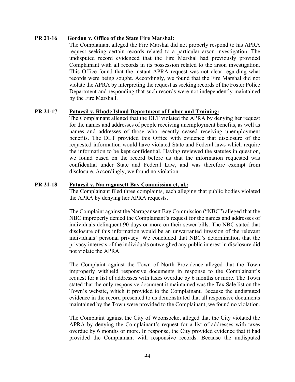# **PR 21-16 Gordon v. Office of the State Fire Marshal:**

The Complainant alleged the Fire Marshal did not properly respond to his APRA request seeking certain records related to a particular arson investigation. The undisputed record evidenced that the Fire Marshal had previously provided Complainant with all records in its possession related to the arson investigation. This Office found that the instant APRA request was not clear regarding what records were being sought. Accordingly, we found that the Fire Marshal did not violate the APRA by interpreting the request as seeking records of the Foster Police Department and responding that such records were not independently maintained by the Fire Marshall.

### **PR 21-17 Patacsil v. Rhode Island Department of Labor and Training:**

The Complainant alleged that the DLT violated the APRA by denying her request for the names and addresses of people receiving unemployment benefits, as well as names and addresses of those who recently ceased receiving unemployment benefits. The DLT provided this Office with evidence that disclosure of the requested information would have violated State and Federal laws which require the information to be kept confidential. Having reviewed the statutes in question, we found based on the record before us that the information requested was confidential under State and Federal Law, and was therefore exempt from disclosure. Accordingly, we found no violation.

### **PR 21-18 Patacsil v. Narragansett Bay Commission et, al.:**

The Complainant filed three complaints, each alleging that public bodies violated the APRA by denying her APRA requests.

The Complaint against the Narragansett Bay Commission ("NBC") alleged that the NBC improperly denied the Complainant's request for the names and addresses of individuals delinquent 90 days or more on their sewer bills. The NBC stated that disclosure of this information would be an unwarranted invasion of the relevant individuals' personal privacy. We concluded that NBC's determination that the privacy interests of the individuals outweighed any public interest in disclosure did not violate the APRA.

The Complaint against the Town of North Providence alleged that the Town improperly withheld responsive documents in response to the Complainant's request for a list of addresses with taxes overdue by 6 months or more. The Town stated that the only responsive document it maintained was the Tax Sale list on the Town's website, which it provided to the Complainant. Because the undisputed evidence in the record presented to us demonstrated that all responsive documents maintained by the Town were provided to the Complainant, we found no violation.

The Complaint against the City of Woonsocket alleged that the City violated the APRA by denying the Complainant's request for a list of addresses with taxes overdue by 6 months or more. In response, the City provided evidence that it had provided the Complainant with responsive records. Because the undisputed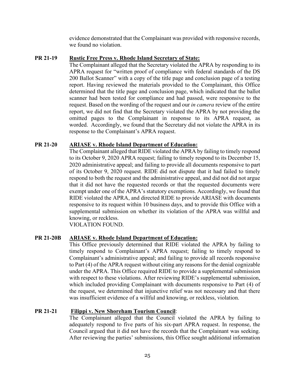evidence demonstrated that the Complainant was provided with responsive records, we found no violation.

# **PR 21-19 Rustic Free Press v. Rhode Island Secretary of State:**

The Complainant alleged that the Secretary violated the APRA by responding to its APRA request for "written proof of compliance with federal standards of the DS 200 Ballot Scanner" with a copy of the title page and conclusion page of a testing report. Having reviewed the materials provided to the Complainant, this Office determined that the title page and conclusion page, which indicated that the ballot scanner had been tested for compliance and had passed, were responsive to the request. Based on the wording of the request and our *in camera* review of the entire report, we did not find that the Secretary violated the APRA by not providing the omitted pages to the Complainant in response to its APRA request, as worded. Accordingly, we found that the Secretary did not violate the APRA in its response to the Complainant's APRA request.

# **PR 21-20 ARIASE v. Rhode Island Department of Education:**

The Complainant alleged that RIDE violated the APRA by failing to timely respond to its October 9, 2020 APRA request; failing to timely respond to its December 15, 2020 administrative appeal; and failing to provide all documents responsive to part of its October 9, 2020 request. RIDE did not dispute that it had failed to timely respond to both the request and the administrative appeal, and did not did not argue that it did not have the requested records or that the requested documents were exempt under one of the APRA's statutory exemptions. Accordingly, we found that RIDE violated the APRA, and directed RIDE to provide ARIASE with documents responsive to its request within 10 business days, and to provide this Office with a supplemental submission on whether its violation of the APRA was willful and knowing, or reckless.

VIOLATION FOUND.

### **PR 21-20B ARIASE v. Rhode Island Department of Education:**

This Office previously determined that RIDE violated the APRA by failing to timely respond to Complainant's APRA request; failing to timely respond to Complainant's administrative appeal; and failing to provide all records responsive to Part (4) of the APRA request without citing any reasons for the denial cognizable under the APRA. This Office required RIDE to provide a supplemental submission with respect to these violations. After reviewing RIDE's supplemental submission, which included providing Complainant with documents responsive to Part (4) of the request, we determined that injunctive relief was not necessary and that there was insufficient evidence of a willful and knowing, or reckless, violation.

### **PR 21-21 Filippi v. New Shoreham Tourism Council**:

The Complainant alleged that the Council violated the APRA by failing to adequately respond to five parts of his six-part APRA request. In response, the Council argued that it did not have the records that the Complainant was seeking. After reviewing the parties' submissions, this Office sought additional information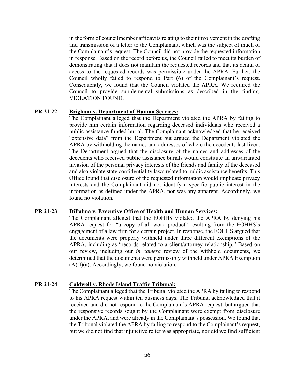in the form of councilmember affidavits relating to their involvement in the drafting and transmission of a letter to the Complainant, which was the subject of much of the Complainant's request. The Council did not provide the requested information in response. Based on the record before us, the Council failed to meet its burden of demonstrating that it does not maintain the requested records and that its denial of access to the requested records was permissible under the APRA. Further, the Council wholly failed to respond to Part (6) of the Complainant's request. Consequently, we found that the Council violated the APRA. We required the Council to provide supplemental submissions as described in the finding. VIOLATION FOUND.

#### **PR 21-22 Brigham v. Department of Human Services:**

The Complainant alleged that the Department violated the APRA by failing to provide him certain information regarding deceased individuals who received a public assistance funded burial. The Complainant acknowledged that he received "extensive data" from the Department but argued the Department violated the APRA by withholding the names and addresses of where the decedents last lived. The Department argued that the disclosure of the names and addresses of the decedents who received public assistance burials would constitute an unwarranted invasion of the personal privacy interests of the friends and family of the deceased and also violate state confidentiality laws related to public assistance benefits. This Office found that disclosure of the requested information would implicate privacy interests and the Complainant did not identify a specific public interest in the information as defined under the APRA, nor was any apparent. Accordingly, we found no violation.

#### **PR 21-23 DiPalma v. Executive Office of Health and Human Services:**

The Complainant alleged that the EOHHS violated the APRA by denying his APRA request for "a copy of all work product" resulting from the EOHHS's engagement of a law firm for a certain project. In response, the EOHHS argued that the documents were properly withheld under three different exemptions of the APRA, including as "records related to a client/attorney relationship." Based on our review, including our *in camera* review of the withheld documents, we determined that the documents were permissibly withheld under APRA Exemption  $(A)(I)(a)$ . Accordingly, we found no violation.

### **PR 21-24 Caldwell v. Rhode Island Traffic Tribunal:**

The Complainant alleged that the Tribunal violated the APRA by failing to respond to his APRA request within ten business days. The Tribunal acknowledged that it received and did not respond to the Complainant's APRA request, but argued that the responsive records sought by the Complainant were exempt from disclosure under the APRA, and were already in the Complainant's possession. We found that the Tribunal violated the APRA by failing to respond to the Complainant's request, but we did not find that injunctive relief was appropriate, nor did we find sufficient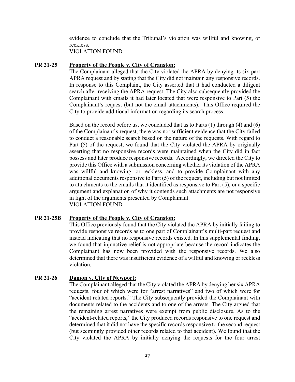evidence to conclude that the Tribunal's violation was willful and knowing, or reckless.

VIOLATION FOUND.

# **PR 21-25 Property of the People v. City of Cranston:**

The Complainant alleged that the City violated the APRA by denying its six-part APRA request and by stating that the City did not maintain any responsive records. In response to this Complaint, the City asserted that it had conducted a diligent search after receiving the APRA request. The City also subsequently provided the Complainant with emails it had later located that were responsive to Part (5) the Complainant's request (but not the email attachments). This Office required the City to provide additional information regarding its search process.

Based on the record before us, we concluded that as to Parts (1) through (4) and (6) of the Complainant's request, there was not sufficient evidence that the City failed to conduct a reasonable search based on the nature of the requests. With regard to Part (5) of the request, we found that the City violated the APRA by originally asserting that no responsive records were maintained when the City did in fact possess and later produce responsive records. Accordingly, we directed the City to provide this Office with a submission concerning whether its violation of the APRA was willful and knowing, or reckless, and to provide Complainant with any additional documents responsive to Part (5) of the request, including but not limited to attachments to the emails that it identified as responsive to Part (5), or a specific argument and explanation of why it contends such attachments are not responsive in light of the arguments presented by Complainant. VIOLATION FOUND.

### **PR 21-25B Property of the People v. City of Cranston:**

This Office previously found that the City violated the APRA by initially failing to provide responsive records as to one part of Complainant's multi-part request and instead indicating that no responsive records existed. In this supplemental finding, we found that injunctive relief is not appropriate because the record indicates the Complainant has now been provided with the responsive records. We also determined that there was insufficient evidence of a willful and knowing or reckless violation.

### **PR 21-26 Damon v. City of Newport:**

The Complainant alleged that the City violated the APRA by denying her six APRA requests, four of which were for "arrest narratives" and two of which were for "accident related reports." The City subsequently provided the Complainant with documents related to the accidents and to one of the arrests. The City argued that the remaining arrest narratives were exempt from public disclosure. As to the "accident-related reports," the City produced records responsive to one request and determined that it did not have the specific records responsive to the second request (but seemingly provided other records related to that accident). We found that the City violated the APRA by initially denying the requests for the four arrest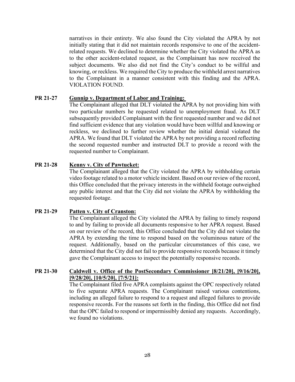narratives in their entirety. We also found the City violated the APRA by not initially stating that it did not maintain records responsive to one of the accidentrelated requests. We declined to determine whether the City violated the APRA as to the other accident-related request, as the Complainant has now received the subject documents. We also did not find the City's conduct to be willful and knowing, or reckless. We required the City to produce the withheld arrest narratives to the Complainant in a manner consistent with this finding and the APRA. VIOLATION FOUND.

### **PR 21-27 Gunnip v. Department of Labor and Training:**

The Complainant alleged that DLT violated the APRA by not providing him with two particular numbers he requested related to unemployment fraud. As DLT subsequently provided Complainant with the first requested number and we did not find sufficient evidence that any violation would have been willful and knowing or reckless, we declined to further review whether the initial denial violated the APRA. We found that DLT violated the APRA by not providing a record reflecting the second requested number and instructed DLT to provide a record with the requested number to Complainant.

# **PR 21-28 Kenny v. City of Pawtucket:**

The Complainant alleged that the City violated the APRA by withholding certain video footage related to a motor vehicle incident. Based on our review of the record, this Office concluded that the privacy interests in the withheld footage outweighed any public interest and that the City did not violate the APRA by withholding the requested footage.

### **PR 21-29 Patten v. City of Cranston:**

The Complainant alleged the City violated the APRA by failing to timely respond to and by failing to provide all documents responsive to her APRA request. Based on our review of the record, this Office concluded that the City did not violate the APRA by extending the time to respond based on the voluminous nature of the request. Additionally, based on the particular circumstances of this case, we determined that the City did not fail to provide responsive records because it timely gave the Complainant access to inspect the potentially responsive records.

# **PR 21-30 Caldwell v. Office of the PostSecondary Commissioner [8/21/20], [9/16/20], [9/28/20], [10/5/20], [7/5/21]:**

The Complainant filed five APRA complaints against the OPC respectively related to five separate APRA requests. The Complainant raised various contentions, including an alleged failure to respond to a request and alleged failures to provide responsive records. For the reasons set forth in the finding, this Office did not find that the OPC failed to respond or impermissibly denied any requests. Accordingly, we found no violations.